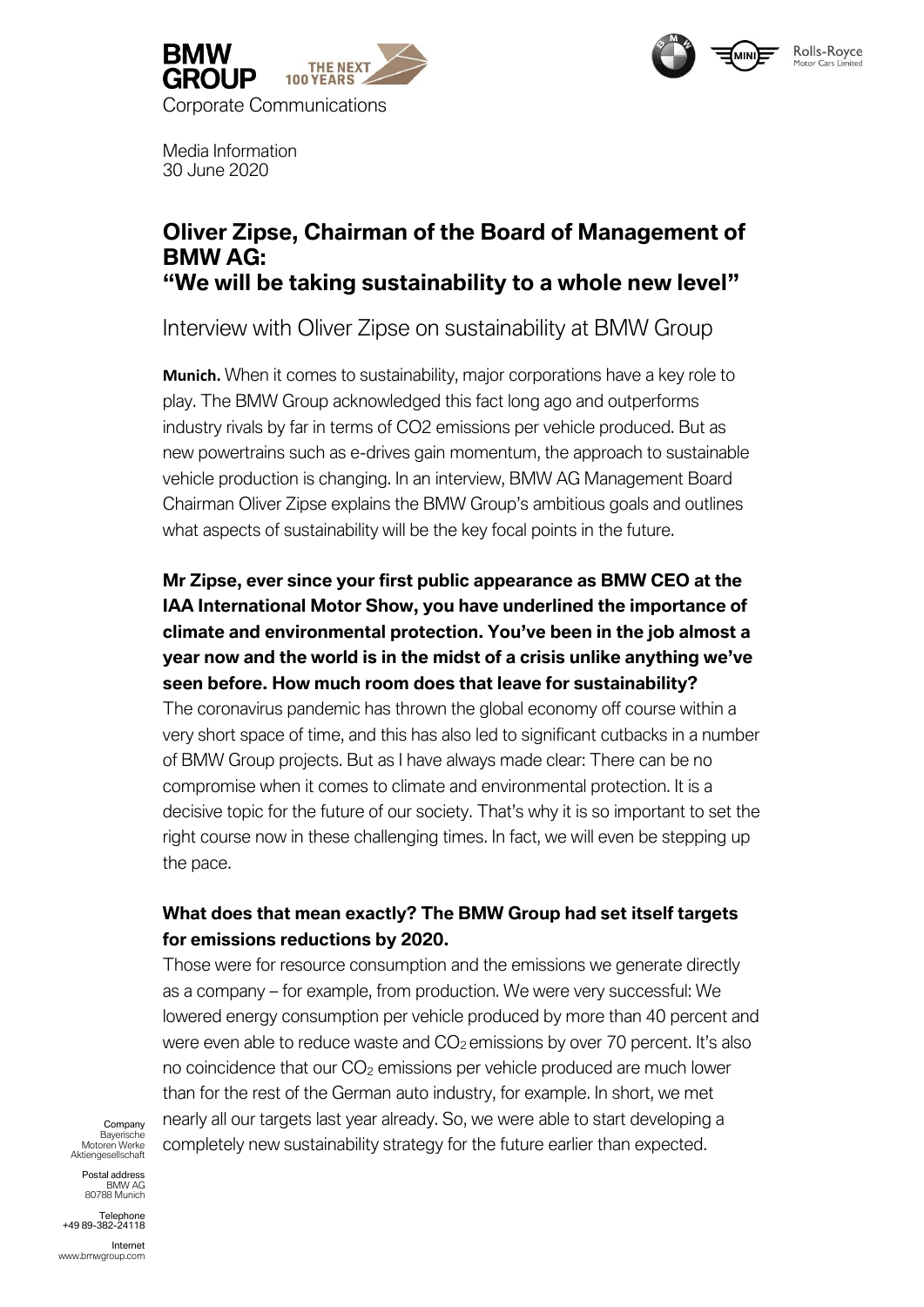



Media Information 30 June 2020

# **Oliver Zipse, Chairman of the Board of Management of BMW AG: "We will be taking sustainability to a whole new level"**

Interview with Oliver Zipse on sustainability at BMW Group

**Munich.** When it comes to sustainability, major corporations have a key role to play. The BMW Group acknowledged this fact long ago and outperforms industry rivals by far in terms of CO2 emissions per vehicle produced. But as new powertrains such as e-drives gain momentum, the approach to sustainable vehicle production is changing. In an interview, BMW AG Management Board Chairman Oliver Zipse explains the BMW Group's ambitious goals and outlines what aspects of sustainability will be the key focal points in the future.

# **Mr Zipse, ever since your first public appearance as BMW CEO at the IAA International Motor Show, you have underlined the importance of climate and environmental protection. You've been in the job almost a year now and the world is in the midst of a crisis unlike anything we've seen before. How much room does that leave for sustainability?**

The coronavirus pandemic has thrown the global economy off course within a very short space of time, and this has also led to significant cutbacks in a number of BMW Group projects. But as I have always made clear: There can be no compromise when it comes to climate and environmental protection. It is a decisive topic for the future of our society. That's why it is so important to set the right course now in these challenging times. In fact, we will even be stepping up the pace.

## **What does that mean exactly? The BMW Group had set itself targets for emissions reductions by 2020.**

Those were for resource consumption and the emissions we generate directly as a company – for example, from production. We were very successful: We lowered energy consumption per vehicle produced by more than 40 percent and were even able to reduce waste and  $CO<sub>2</sub>$  emissions by over 70 percent. It's also no coincidence that our  $CO<sub>2</sub>$  emissions per vehicle produced are much lower than for the rest of the German auto industry, for example. In short, we met nearly all our targets last year already. So, we were able to start developing a completely new sustainability strategy for the future earlier than expected.

Company Bayerische Motoren Werke Aktiengesellschaft

Postal address BMW AG 80788 Munich

**Telephone** +49 89-382-24118

Internet www.bmwgroup.com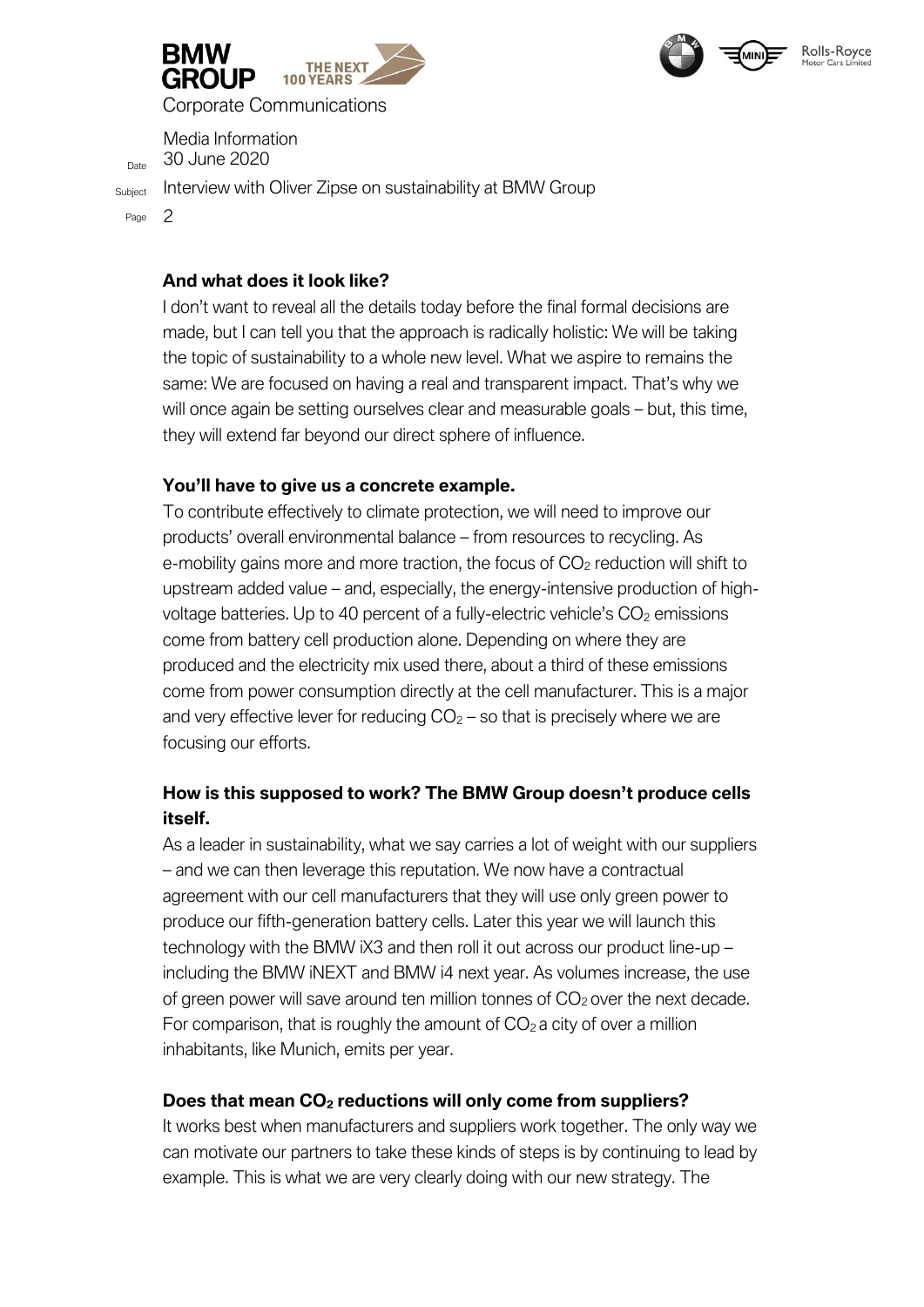



Corporate Communications

Media Information  $D_{\text{late}}$  30 June 2020

Subject Interview with Oliver Zipse on sustainability at BMW Group

Page 2

## **And what does it look like?**

I don't want to reveal all the details today before the final formal decisions are made, but I can tell you that the approach is radically holistic: We will be taking the topic of sustainability to a whole new level. What we aspire to remains the same: We are focused on having a real and transparent impact. That's why we will once again be setting ourselves clear and measurable goals – but, this time, they will extend far beyond our direct sphere of influence.

### **You'll have to give us a concrete example.**

To contribute effectively to climate protection, we will need to improve our products' overall environmental balance – from resources to recycling. As e-mobility gains more and more traction, the focus of  $CO<sub>2</sub>$  reduction will shift to upstream added value – and, especially, the energy-intensive production of highvoltage batteries. Up to 40 percent of a fully-electric vehicle's  $CO<sub>2</sub>$  emissions come from battery cell production alone. Depending on where they are produced and the electricity mix used there, about a third of these emissions come from power consumption directly at the cell manufacturer. This is a major and very effective lever for reducing  $CO<sub>2</sub> -$  so that is precisely where we are focusing our efforts.

## **How is this supposed to work? The BMW Group doesn't produce cells itself.**

As a leader in sustainability, what we say carries a lot of weight with our suppliers – and we can then leverage this reputation. We now have a contractual agreement with our cell manufacturers that they will use only green power to produce our fifth-generation battery cells. Later this year we will launch this technology with the BMW iX3 and then roll it out across our product line-up – including the BMW iNEXT and BMW i4 next year. As volumes increase, the use of green power will save around ten million tonnes of  $CO<sub>2</sub>$  over the next decade. For comparison, that is roughly the amount of  $CO<sub>2</sub>$  a city of over a million inhabitants, like Munich, emits per year.

## **Does that mean CO<sup>2</sup> reductions will only come from suppliers?**

It works best when manufacturers and suppliers work together. The only way we can motivate our partners to take these kinds of steps is by continuing to lead by example. This is what we are very clearly doing with our new strategy. The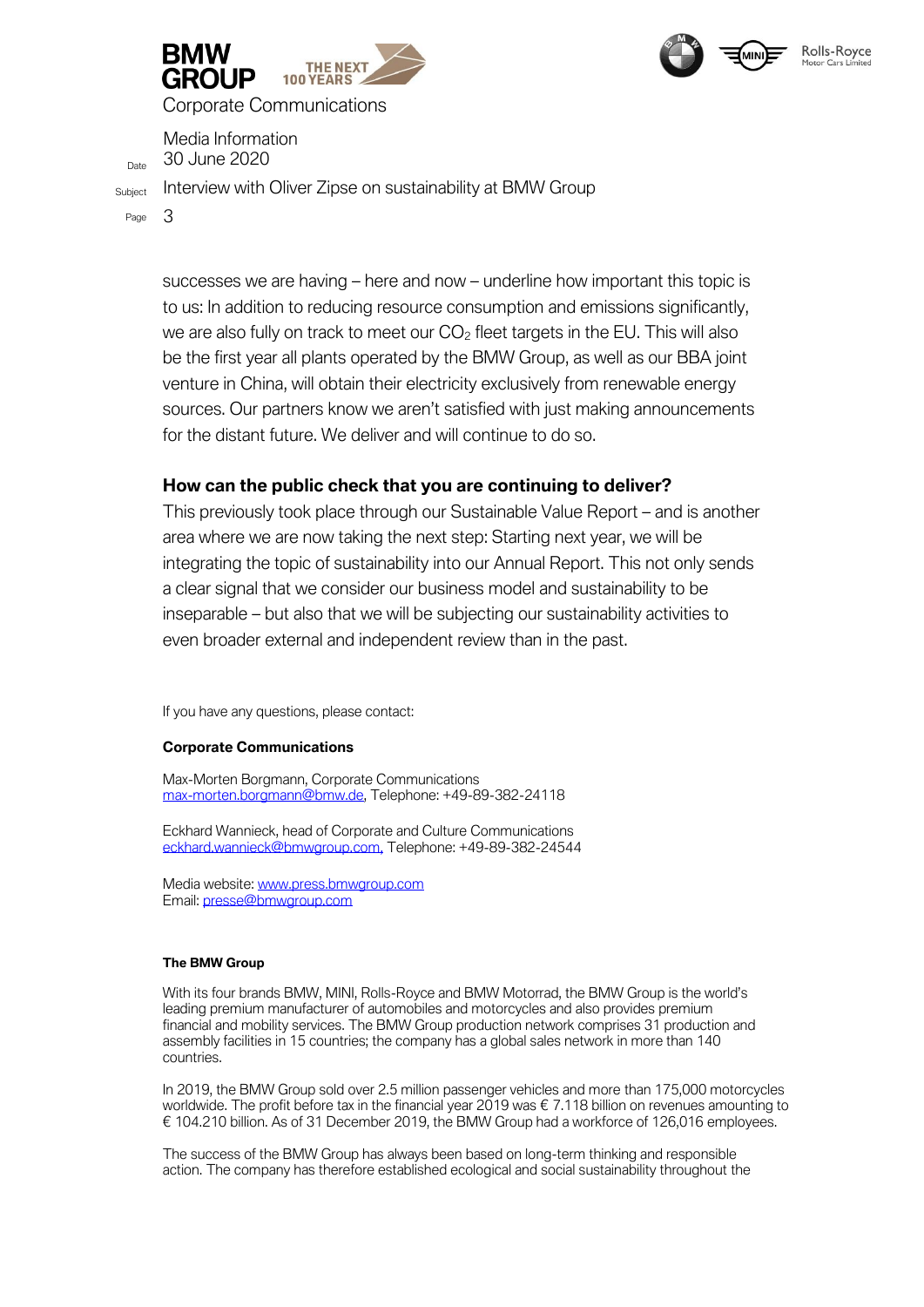



Corporate Communications

Media Information 30 June 2020

Subject Interview with Oliver Zipse on sustainability at BMW Group

Page 3

successes we are having – here and now – underline how important this topic is to us: In addition to reducing resource consumption and emissions significantly, we are also fully on track to meet our  $CO<sub>2</sub>$  fleet targets in the EU. This will also be the first year all plants operated by the BMW Group, as well as our BBA joint venture in China, will obtain their electricity exclusively from renewable energy sources. Our partners know we aren't satisfied with just making announcements for the distant future. We deliver and will continue to do so.

### **How can the public check that you are continuing to deliver?**

This previously took place through our Sustainable Value Report – and is another area where we are now taking the next step: Starting next year, we will be integrating the topic of sustainability into our Annual Report. This not only sends a clear signal that we consider our business model and sustainability to be inseparable – but also that we will be subjecting our sustainability activities to even broader external and independent review than in the past.

If you have any questions, please contact:

#### **Corporate Communications**

Max-Morten Borgmann, Corporate Communications max-morten.borgmann@bmw.de, Telephone: +49-89-382-24118

Eckhard Wannieck, head of Corporate and Culture Communications [eckhard.wannieck@bmwgroup.com,](mailto:eckhard.wannieck@bmwgroup.com) Telephone: +49-89-382-24544

Media website: [www.press.bmwgroup.com](http://www.press.bmwgroup.com/) Email: [presse@bmwgroup.com](about:blank)

#### **The BMW Group**

With its four brands BMW, MINI, Rolls-Royce and BMW Motorrad, the BMW Group is the world's leading premium manufacturer of automobiles and motorcycles and also provides premium financial and mobility services. The BMW Group production network comprises 31 production and assembly facilities in 15 countries; the company has a global sales network in more than 140 countries.

In 2019, the BMW Group sold over 2.5 million passenger vehicles and more than 175,000 motorcycles worldwide. The profit before tax in the financial year 2019 was € 7.118 billion on revenues amounting to € 104.210 billion. As of 31 December 2019, the BMW Group had a workforce of 126,016 employees.

The success of the BMW Group has always been based on long-term thinking and responsible action. The company has therefore established ecological and social sustainability throughout the